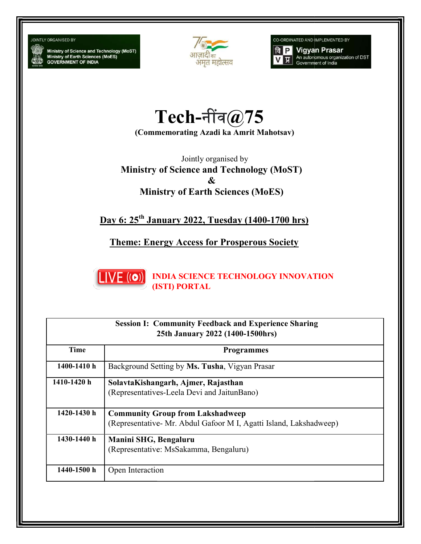## **JOINTLY ORGANISED BY**

Ministry of Science and Technology (MoST)<br>Ministry of Earth Sciences (MoES)<br>GOVERNMENT OF INDIA



CO-ORDINATED AND IMPLEMENTED BY



 $\mathrm{Tech}$ -नींव $@75$ 

(Commemorating Azadi ka Amrit Mahotsav) Mahotsav)

Ministry of Science and Technology (MoST) Ministry of & Ministry of Earth Sciences (MoES) Jointly organised by

Ministry of Earth Sciences (MoES)<br>Day 6: 25<sup>th</sup> January 2022, Tuesday (1400-1700 hrs)

**Theme: Energy Access for Prosperous Society** 



(ISTI) PORTAL

| <b>Session I: Community Feedback and Experience Sharing</b><br>25th January 2022 (1400-1500hrs) |                                                                                                               |  |
|-------------------------------------------------------------------------------------------------|---------------------------------------------------------------------------------------------------------------|--|
| <b>Time</b>                                                                                     | <b>Programmes</b>                                                                                             |  |
| 1400-1410 h                                                                                     | Background Setting by Ms. Tusha, Vigyan Prasar                                                                |  |
| 1410-1420 h                                                                                     | SolavtaKishangarh, Ajmer, Rajasthan<br>(Representatives-Leela Devi and JaitunBano)                            |  |
| 1420-1430 h                                                                                     | <b>Community Group from Lakshadweep</b><br>(Representative- Mr. Abdul Gafoor M I, Agatti Island, Lakshadweep) |  |
| 1430-1440 h                                                                                     | Manini SHG, Bengaluru<br>(Representative: MsSakamma, Bengaluru)                                               |  |
| 1440-1500 h                                                                                     | Open Interaction                                                                                              |  |